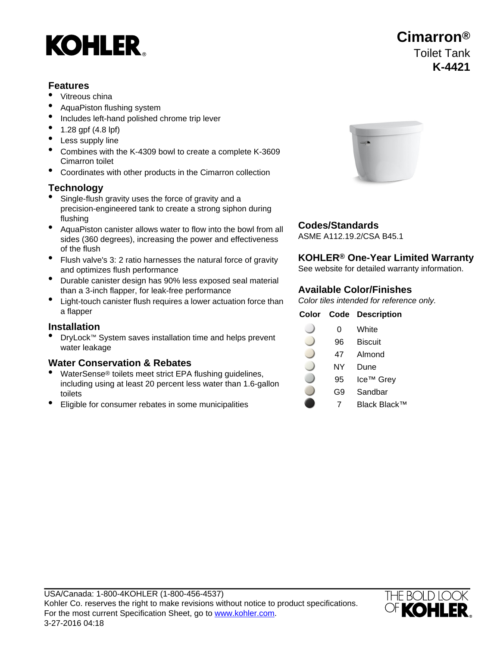# **KOHLER**

### **Features**

- Vitreous china
- AquaPiston flushing system
- Includes left-hand polished chrome trip lever
- 1.28 gpf (4.8 lpf)
- Less supply line
- Combines with the K-4309 bowl to create a complete K-3609 Cimarron toilet
- Coordinates with other products in the Cimarron collection

### **Technology**

- Single-flush gravity uses the force of gravity and a precision-engineered tank to create a strong siphon during flushing
- **AquaPiston canister allows water to flow into the bowl from all Codes/Standards** sides (360 degrees), increasing the power and effectiveness of the flush
- Flush valve's 3: 2 ratio harnesses the natural force of gravity **KOHLER® One-Year Limited Warranty** and optimizes flush performance See Website for detailed warranty information.
- Durable canister design has 90% less exposed seal material than a 3-inch flapper, for leak-free performance **Available Color/Finishes**
- Light-touch canister flush requires a lower actuation force than Color tiles intended for reference only. a flapper **Color Code Description**

### **Installation**

• DryLock™ System saves installation time and helps prevent Dry Lock System saves installation time and neips prevent<br>water leakage and the same of the same of the same of the same of the same of the same of the same of the same

### **Water Conservation & Rebates**

- WaterSense® toilets meet strict EPA flushing guidelines, including using at least 20 percent less water than 1.6-gallon toilets
- Eligible for consumer rebates in some municipalities **7** Plack Black™



ASME A112.19.2/CSA B45.1

| Color | Code | <b>Descriptior</b>    |
|-------|------|-----------------------|
|       | 0    | White                 |
|       | 96   | <b>Biscuit</b>        |
|       | 47   | Almond                |
|       | NY   | Dune                  |
|       | 95   | Ice <sup>™</sup> Grey |
|       | G9   | Sandbar               |



## **Cimarron®** Toilet Tank **K-4421**